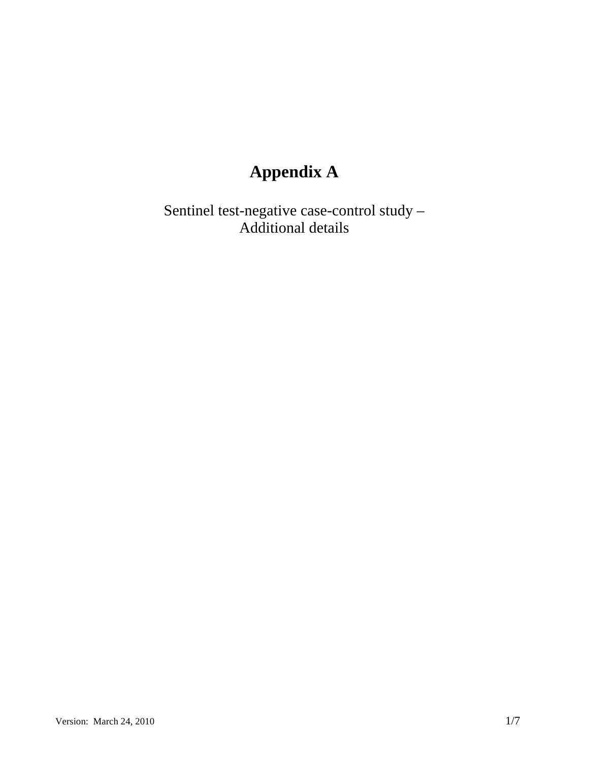# **Appendix A**

Sentinel test-negative case-control study – Additional details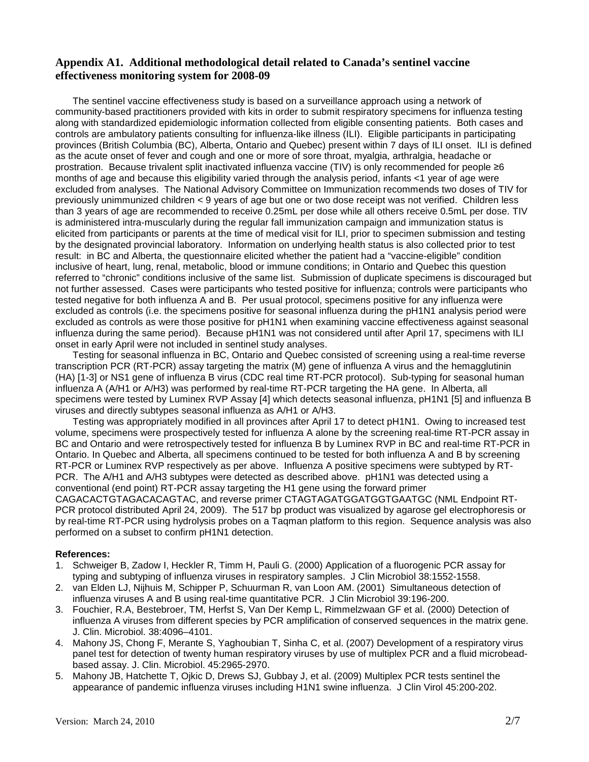#### **Appendix A1. Additional methodological detail related to Canada's sentinel vaccine effectiveness monitoring system for 2008-09**

The sentinel vaccine effectiveness study is based on a surveillance approach using a network of community-based practitioners provided with kits in order to submit respiratory specimens for influenza testing along with standardized epidemiologic information collected from eligible consenting patients. Both cases and controls are ambulatory patients consulting for influenza-like illness (ILI). Eligible participants in participating provinces (British Columbia (BC), Alberta, Ontario and Quebec) present within 7 days of ILI onset. ILI is defined as the acute onset of fever and cough and one or more of sore throat, myalgia, arthralgia, headache or prostration. Because trivalent split inactivated influenza vaccine (TIV) is only recommended for people ≥6 months of age and because this eligibility varied through the analysis period, infants <1 year of age were excluded from analyses. The National Advisory Committee on Immunization recommends two doses of TIV for previously unimmunized children < 9 years of age but one or two dose receipt was not verified. Children less than 3 years of age are recommended to receive 0.25mL per dose while all others receive 0.5mL per dose. TIV is administered intra-muscularly during the regular fall immunization campaign and immunization status is elicited from participants or parents at the time of medical visit for ILI, prior to specimen submission and testing by the designated provincial laboratory. Information on underlying health status is also collected prior to test result: in BC and Alberta, the questionnaire elicited whether the patient had a "vaccine-eligible" condition inclusive of heart, lung, renal, metabolic, blood or immune conditions; in Ontario and Quebec this question referred to "chronic" conditions inclusive of the same list. Submission of duplicate specimens is discouraged but not further assessed. Cases were participants who tested positive for influenza; controls were participants who tested negative for both influenza A and B. Per usual protocol, specimens positive for any influenza were excluded as controls (i.e. the specimens positive for seasonal influenza during the pH1N1 analysis period were excluded as controls as were those positive for pH1N1 when examining vaccine effectiveness against seasonal influenza during the same period). Because pH1N1 was not considered until after April 17, specimens with ILI onset in early April were not included in sentinel study analyses.

Testing for seasonal influenza in BC, Ontario and Quebec consisted of screening using a real-time reverse transcription PCR (RT-PCR) assay targeting the matrix (M) gene of influenza A virus and the hemagglutinin (HA) [1-3] or NS1 gene of influenza B virus (CDC real time RT-PCR protocol). Sub-typing for seasonal human influenza A (A/H1 or A/H3) was performed by real-time RT-PCR targeting the HA gene. In Alberta, all specimens were tested by Luminex RVP Assay [4] which detects seasonal influenza, pH1N1 [5] and influenza B viruses and directly subtypes seasonal influenza as A/H1 or A/H3.

Testing was appropriately modified in all provinces after April 17 to detect pH1N1. Owing to increased test volume, specimens were prospectively tested for influenza A alone by the screening real-time RT-PCR assay in BC and Ontario and were retrospectively tested for influenza B by Luminex RVP in BC and real-time RT-PCR in Ontario. In Quebec and Alberta, all specimens continued to be tested for both influenza A and B by screening RT-PCR or Luminex RVP respectively as per above. Influenza A positive specimens were subtyped by RT-PCR. The A/H1 and A/H3 subtypes were detected as described above. pH1N1 was detected using a conventional (end point) RT-PCR assay targeting the H1 gene using the forward primer CAGACACTGTAGACACAGTAC, and reverse primer CTAGTAGATGGATGGTGAATGC (NML Endpoint RT-PCR protocol distributed April 24, 2009). The 517 bp product was visualized by agarose gel electrophoresis or by real-time RT-PCR using hydrolysis probes on a Taqman platform to this region. Sequence analysis was also

#### **References:**

performed on a subset to confirm pH1N1 detection.

- 1. Schweiger B, Zadow I, Heckler R, Timm H, Pauli G. (2000) Application of a fluorogenic PCR assay for typing and subtyping of influenza viruses in respiratory samples. J Clin Microbiol 38:1552-1558.
- 2. van Elden LJ, Nijhuis M, Schipper P, Schuurman R, van Loon AM. (2001) Simultaneous detection of influenza viruses A and B using real-time quantitative PCR. J Clin Microbiol 39:196-200.
- 3. Fouchier, R.A, Bestebroer, TM, Herfst S, Van Der Kemp L, Rimmelzwaan GF et al. (2000) Detection of influenza A viruses from different species by PCR amplification of conserved sequences in the matrix gene. J. Clin. Microbiol. 38:4096–4101.
- 4. Mahony JS, Chong F, Merante S, Yaghoubian T, Sinha C, et al. (2007) Development of a respiratory virus panel test for detection of twenty human respiratory viruses by use of multiplex PCR and a fluid microbeadbased assay. J. Clin. Microbiol. 45:2965-2970.
- 5. Mahony JB, Hatchette T, Ojkic D, Drews SJ, Gubbay J, et al. (2009) Multiplex PCR tests sentinel the appearance of pandemic influenza viruses including H1N1 swine influenza. J Clin Virol 45:200-202.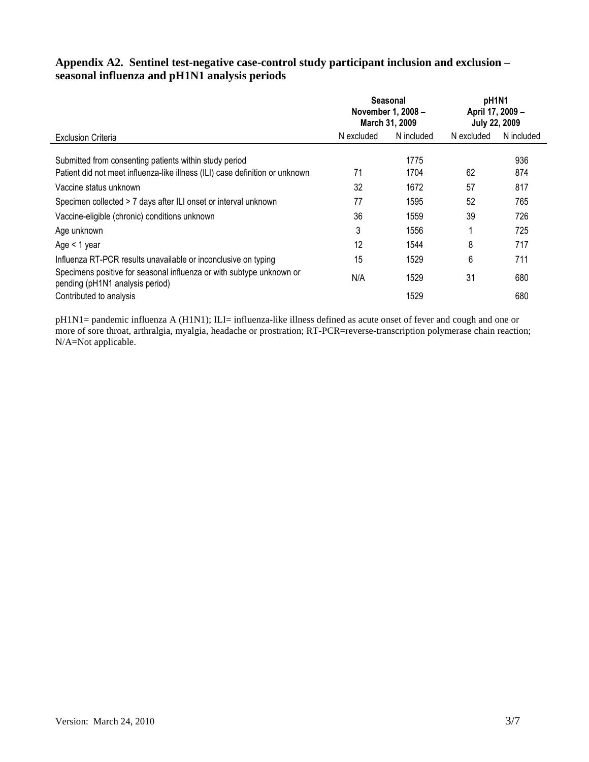### **Appendix A2. Sentinel test-negative case-control study participant inclusion and exclusion – seasonal influenza and pH1N1 analysis periods**

|                                                                                                                                        |            | <b>Seasonal</b><br>November 1, 2008 -<br>March 31, 2009 | pH1N1<br>April 17, 2009 -<br><b>July 22, 2009</b> |            |  |  |
|----------------------------------------------------------------------------------------------------------------------------------------|------------|---------------------------------------------------------|---------------------------------------------------|------------|--|--|
| <b>Exclusion Criteria</b>                                                                                                              | N excluded | N included                                              | N excluded                                        | N included |  |  |
| Submitted from consenting patients within study period<br>Patient did not meet influenza-like illness (ILI) case definition or unknown | 71         | 1775<br>1704                                            | 62                                                | 936<br>874 |  |  |
| Vaccine status unknown                                                                                                                 | 32         | 1672                                                    | 57                                                | 817        |  |  |
| Specimen collected > 7 days after ILI onset or interval unknown                                                                        | 77         | 1595                                                    | 52                                                | 765        |  |  |
| Vaccine-eligible (chronic) conditions unknown                                                                                          | 36         | 1559                                                    | 39                                                | 726        |  |  |
| Age unknown                                                                                                                            | 3          | 1556                                                    |                                                   | 725        |  |  |
| Age $<$ 1 year                                                                                                                         | 12         | 1544                                                    | 8                                                 | 717        |  |  |
| Influenza RT-PCR results unavailable or inconclusive on typing                                                                         | 15         | 1529                                                    | 6                                                 | 711        |  |  |
| Specimens positive for seasonal influenza or with subtype unknown or<br>pending (pH1N1 analysis period)                                | N/A        | 1529                                                    | 31                                                | 680        |  |  |
| Contributed to analysis                                                                                                                |            | 1529                                                    |                                                   | 680        |  |  |

pH1N1= pandemic influenza A (H1N1); ILI= influenza-like illness defined as acute onset of fever and cough and one or more of sore throat, arthralgia, myalgia, headache or prostration; RT-PCR=reverse-transcription polymerase chain reaction; N/A=Not applicable.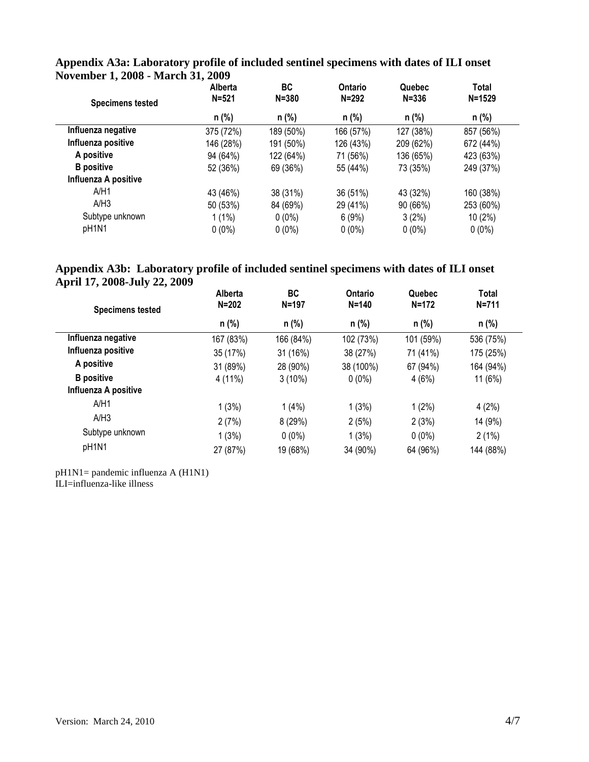| <b>Specimens tested</b> | Alberta<br>$N = 521$ | <b>BC</b><br>$N = 380$ | Ontario<br>$N = 292$ | Quebec<br>$N = 336$ | Total<br>$N = 1529$ |
|-------------------------|----------------------|------------------------|----------------------|---------------------|---------------------|
|                         | n (%)                | $n$ (%)                | $n$ (%)              | $n$ (%)             | n (%)               |
| Influenza negative      | 375 (72%)            | 189 (50%)              | 166 (57%)            | 127 (38%)           | 857 (56%)           |
| Influenza positive      | 146 (28%)            | 191 (50%)              | 126 (43%)            | 209 (62%)           | 672 (44%)           |
| A positive              | 94 (64%)             | 122 (64%)              | 71 (56%)             | 136 (65%)           | 423 (63%)           |
| <b>B</b> positive       | 52 (36%)             | 69 (36%)               | 55 (44%)             | 73 (35%)            | 249 (37%)           |
| Influenza A positive    |                      |                        |                      |                     |                     |
| A/H1                    | 43 (46%)             | 38 (31%)               | 36 (51%)             | 43 (32%)            | 160 (38%)           |
| A/H3                    | 50 (53%)             | 84 (69%)               | 29 (41%)             | 90 (66%)            | 253 (60%)           |
| Subtype unknown         | $1(1\%)$             | $0(0\%)$               | 6(9%)                | 3(2%)               | 10(2%)              |
| pH1N1                   | $0(0\%)$             | $0(0\%)$               | $0(0\%)$             | $0(0\%)$            | $0(0\%)$            |

# **Appendix A3a: Laboratory profile of included sentinel specimens with dates of ILI onset November 1, 2008 - March 31, 2009**

# **Appendix A3b: Laboratory profile of included sentinel specimens with dates of ILI onset April 17, 2008-July 22, 2009**

| <b>Specimens tested</b> | Alberta<br>$N = 202$ | BC<br>$N = 197$ | Ontario<br>$N = 140$ | Quebec<br>$N = 172$ | <b>Total</b><br>$N = 711$ |
|-------------------------|----------------------|-----------------|----------------------|---------------------|---------------------------|
|                         | n (%)                | n (%)           | $n$ (%)              | n (%)               | n (%)                     |
| Influenza negative      | 167 (83%)            | 166 (84%)       | 102 (73%)            | 101 (59%)           | 536 (75%)                 |
| Influenza positive      | 35 (17%)             | 31 (16%)        | 38 (27%)             | 71 (41%)            | 175 (25%)                 |
| A positive              | 31 (89%)             | 28 (90%)        | 38 (100%)            | 67 (94%)            | 164 (94%)                 |
| <b>B</b> positive       | 4 (11%)              | $3(10\%)$       | $0(0\%)$             | 4(6%)               | 11 (6%)                   |
| Influenza A positive    |                      |                 |                      |                     |                           |
| A/H1                    | 1(3%)                | 1(4%)           | 1(3%)                | 1(2%)               | 4(2%)                     |
| A/H3                    | 2(7%)                | 8(29%)          | 2(5%)                | 2(3%)               | 14 (9%)                   |
| Subtype unknown         | 1(3%)                | $0(0\%)$        | 1(3%)                | $0(0\%)$            | 2(1%)                     |
| pH1N1                   | 27 (87%)             | 19 (68%)        | 34 (90%)             | 64 (96%)            | 144 (88%)                 |

pH1N1= pandemic influenza A (H1N1)

ILI=influenza-like illness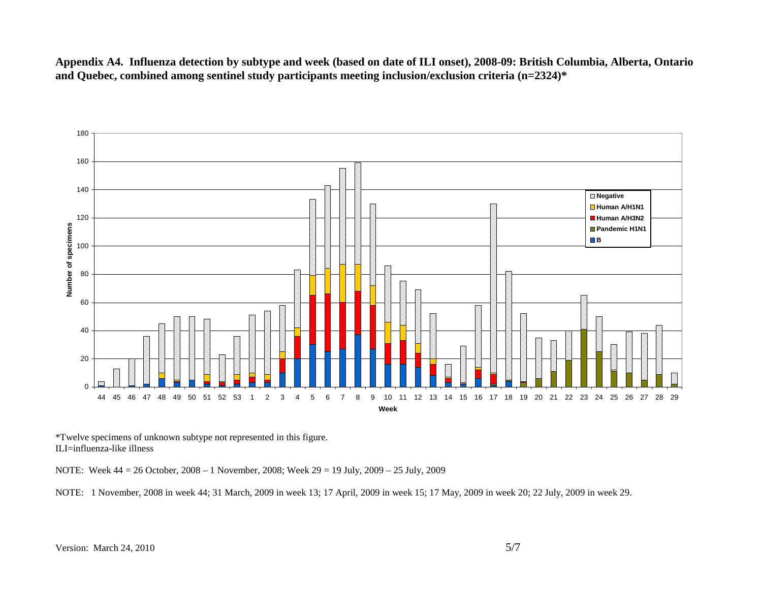**Appendix A4. Influenza detection by subtype and week (based on date of ILI onset), 2008-09: British Columbia, Alberta, Ontario and Quebec, combined among sentinel study participants meeting inclusion/exclusion criteria (n=2324)\*** 



\*Twelve specimens of unknown subtype not represented in this figure. ILI=influenza-like illness

NOTE: Week 44 = 26 October, 2008 – 1 November, 2008; Week 29 = 19 July, 2009 – 25 July, 2009

NOTE: 1 November, 2008 in week 44; 31 March, 2009 in week 13; 17 April, 2009 in week 15; 17 May, 2009 in week 20; 22 July, 2009 in week 29.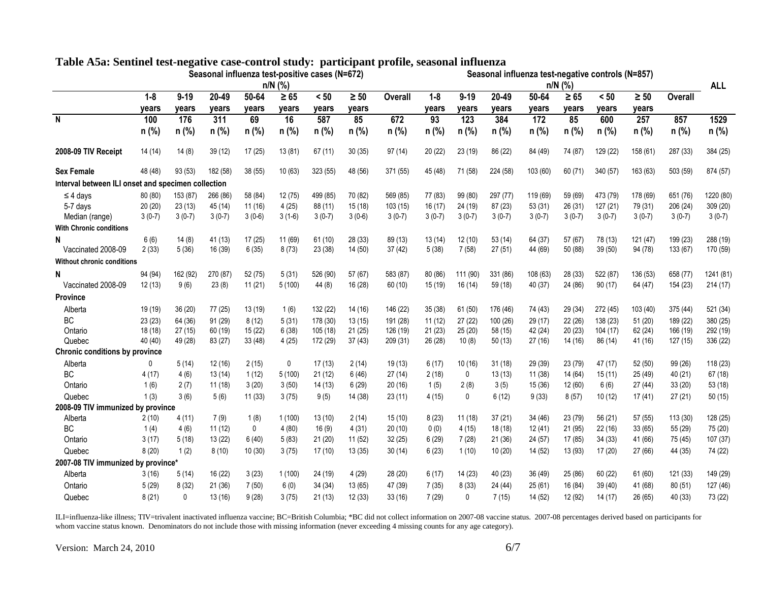|                                                    |                  |                   |                  |                |                    | Seasonal influenza test-positive cases (N=672) |                    |                | Seasonal influenza test-negative controls (N=857) |                   |                |                |                    |               |                    |          |           |  |
|----------------------------------------------------|------------------|-------------------|------------------|----------------|--------------------|------------------------------------------------|--------------------|----------------|---------------------------------------------------|-------------------|----------------|----------------|--------------------|---------------|--------------------|----------|-----------|--|
|                                                    |                  |                   |                  |                | $n/N$ (%)          |                                                |                    |                |                                                   | $n/N$ (%)         |                |                |                    |               |                    |          |           |  |
|                                                    | $1 - 8$<br>vears | $9 - 19$<br>vears | 20-49<br>years   | 50-64<br>years | $\geq 65$<br>years | < 50<br>vears                                  | $\geq 50$<br>years | <b>Overall</b> | $1 - 8$<br>years                                  | $9 - 19$<br>years | 20-49<br>years | 50-64<br>years | $\geq 65$<br>years | < 50<br>vears | $\geq 50$<br>vears | Overall  |           |  |
| N                                                  | 100              | 176               | $\overline{311}$ | 69             | 16                 | 587                                            | 85                 | 672            | $\overline{93}$                                   | 123               | 384            | 172            | 85                 | 600           | 257                | 857      | 1529      |  |
|                                                    | $n(\%)$          | n (%)             | $n$ (%)          | $n(\%)$        | $n(\%)$            | n (%)                                          | $n$ (%)            | n (%)          | $n$ (%)                                           | n (%)             | $n$ (%)        | n (%)          | n (%)              | n (%)         | n (%)              | n (%)    | $n$ (%)   |  |
|                                                    |                  |                   |                  |                |                    |                                                |                    |                |                                                   |                   |                |                |                    |               |                    |          |           |  |
| 2008-09 TIV Receipt                                | 14 (14)          | 14(8)             | 39(12)           | 17(25)         | 13(81)             | 67(11)                                         | 30(35)             | 97(14)         | 20(22)                                            | 23(19)            | 86 (22)        | 84 (49)        | 74 (87)            | 129 (22)      | 158 (61)           | 287 (33) | 384 (25)  |  |
| <b>Sex Female</b>                                  | 48 (48)          | 93(53)            | 182 (58)         | 38 (55)        | 10(63)             | 323 (55)                                       | 48 (56)            | 371 (55)       | 45 (48)                                           | 71 (58)           | 224 (58)       | 103 (60)       | 60(71)             | 340 (57)      | 163 (63)           | 503 (59) | 874 (57)  |  |
| Interval between ILI onset and specimen collection |                  |                   |                  |                |                    |                                                |                    |                |                                                   |                   |                |                |                    |               |                    |          |           |  |
| $\leq$ 4 days                                      | 80 (80)          | 153 (87)          | 266 (86)         | 58 (84)        | 12(75)             | 499 (85)                                       | 70 (82)            | 569 (85)       | 77 (83)                                           | 99 (80)           | 297 (77)       | 119 (69)       | 59 (69)            | 473 (79)      | 178 (69)           | 651 (76) | 1220 (80) |  |
| 5-7 days                                           | 20(20)           | 23(13)            | 45(14)           | 11(16)         | 4(25)              | 88 (11)                                        | 15(18)             | 103(15)        | 16(17)                                            | 24 (19)           | 87 (23)        | 53 (31)        | 26(31)             | 127 (21)      | 79 (31)            | 206 (24) | 309 (20)  |  |
| Median (range)                                     | $3(0-7)$         | $3(0-7)$          | $3(0-7)$         | $3(0-6)$       | $3(1-6)$           | $3(0-7)$                                       | $3(0-6)$           | $3(0-7)$       | $3(0-7)$                                          | $3(0-7)$          | $3(0-7)$       | $3(0-7)$       | $3(0-7)$           | $3(0-7)$      | $3(0-7)$           | $3(0-7)$ | $3(0-7)$  |  |
| <b>With Chronic conditions</b>                     |                  |                   |                  |                |                    |                                                |                    |                |                                                   |                   |                |                |                    |               |                    |          |           |  |
| N                                                  | 6(6)             | 14(8)             | 41 (13)          | 17(25)         | 11 (69)            | 61(10)                                         | 28 (33)            | 89 (13)        | 13(14)                                            | 12(10)            | 53(14)         | 64 (37)        | 57 (67)            | 78 (13)       | 121 (47)           | 199 (23) | 288 (19)  |  |
| Vaccinated 2008-09                                 | 2(33)            | 5(36)             | 16 (39)          | 6(35)          | 8(73)              | 23 (38)                                        | 14(50)             | 37(42)         | 5(38)                                             | 7(58)             | 27(51)         | 44 (69)        | 50 (88)            | 39 (50)       | 94 (78)            | 133 (67) | 170 (59)  |  |
| <b>Without chronic conditions</b>                  |                  |                   |                  |                |                    |                                                |                    |                |                                                   |                   |                |                |                    |               |                    |          |           |  |
| N                                                  | 94 (94)          | 162 (92)          | 270 (87)         | 52 (75)        | 5(31)              | 526 (90)                                       | 57 (67)            | 583 (87)       | 80 (86)                                           | 111 (90)          | 331 (86)       | 108 (63)       | 28 (33)            | 522 (87)      | 136 (53)           | 658 (77) | 1241 (81) |  |
| Vaccinated 2008-09                                 | 12(13)           | 9(6)              | 23(8)            | 11(21)         | 5(100)             | 44 (8)                                         | 16 (28)            | 60(10)         | 15(19)                                            | 16(14)            | 59 (18)        | 40 (37)        | 24 (86)            | 90(17)        | 64 (47)            | 154 (23) | 214(17)   |  |
| <b>Province</b>                                    |                  |                   |                  |                |                    |                                                |                    |                |                                                   |                   |                |                |                    |               |                    |          |           |  |
| Alberta                                            | 19 (19)          | 36(20)            | 77 (25)          | 13 (19)        | 1(6)               | 132 (22)                                       | 14 (16)            | 146 (22)       | 35(38)                                            | 61(50)            | 176 (46)       | 74 (43)        | 29 (34)            | 272 (45)      | 103 (40)           | 375 (44) | 521 (34)  |  |
| BC                                                 | 23(23)           | 64 (36)           | 91(29)           | 8(12)          | 5(31)              | 178 (30)                                       | 13(15)             | 191 (28)       | 11(12)                                            | 27(22)            | 100 (26)       | 29 (17)        | 22(26)             | 138 (23)      | 51(20)             | 189 (22) | 380 (25)  |  |
| Ontario                                            | 18 (18)          | 27(15)            | 60(19)           | 15(22)         | 6(38)              | 105 (18)                                       | 21(25)             | 126 (19)       | 21(23)                                            | 25(20)            | 58 (15)        | 42 (24)        | 20(23)             | 104 (17)      | 62 (24)            | 166 (19) | 292 (19)  |  |
| Quebec                                             | 40 (40)          | 49 (28)           | 83 (27)          | 33 (48)        | 4(25)              | 172 (29)                                       | 37(43)             | 209 (31)       | 26 (28)                                           | 10(8)             | 50(13)         | 27 (16)        | 14 (16)            | 86 (14)       | 41 (16)            | 127(15)  | 336 (22)  |  |
| <b>Chronic conditions by province</b>              |                  |                   |                  |                |                    |                                                |                    |                |                                                   |                   |                |                |                    |               |                    |          |           |  |
| Alberta                                            | 0                | 5(14)             | 12(16)           | 2(15)          | 0                  | 17(13)                                         | 2(14)              | 19(13)         | 6(17)                                             | 10 (16)           | 31(18)         | 29 (39)        | 23 (79)            | 47 (17)       | 52 (50)            | 99(26)   | 118 (23)  |  |
| <b>BC</b>                                          | 4(17)            | 4(6)              | 13(14)           | 1(12)          | 5(100)             | 21(12)                                         | 6(46)              | 27(14)         | 2(18)                                             | 0                 | 13(13)         | 11(38)         | 14 (64)            | 15(11)        | 25 (49)            | 40(21)   | 67(18)    |  |
| Ontario                                            | 1(6)             | 2(7)              | 11(18)           | 3(20)          | 3(50)              | 14(13)                                         | 6(29)              | 20(16)         | 1(5)                                              | 2(8)              | 3(5)           | 15(36)         | 12 (60)            | 6(6)          | 27(44)             | 33(20)   | 53 (18)   |  |
| Quebec                                             | 1(3)             | 3(6)              | 5(6)             | 11(33)         | 3(75)              | 9(5)                                           | 14 (38)            | 23(11)         | 4(15)                                             | 0                 | 6(12)          | 9(33)          | 8(57)              | 10(12)        | 17(41)             | 27(21)   | 50(15)    |  |
| 2008-09 TIV immunized by province                  |                  |                   |                  |                |                    |                                                |                    |                |                                                   |                   |                |                |                    |               |                    |          |           |  |
| Alberta                                            | 2(10)            | 4(11)             | 7(9)             | 1(8)           | 1(100)             | 13(10)                                         | 2(14)              | 15(10)         | 8(23)                                             | 11(18)            | 37(21)         | 34 (46)        | 23 (79)            | 56 (21)       | 57 (55)            | 113 (30) | 128 (25)  |  |
| <b>BC</b>                                          | 1(4)             | 4(6)              | 11(12)           | $\mathbf 0$    | 4(80)              | 16(9)                                          | 4(31)              | 20(10)         | 0(0)                                              | 4(15)             | 18(18)         | 12(41)         | 21 (95)            | 22(16)        | 33(65)             | 55 (29)  | 75 (20)   |  |
| Ontario                                            | 3(17)            | 5(18)             | 13(22)           | 6(40)          | 5(83)              | 21(20)                                         | 11(52)             | 32(25)         | 6(29)                                             | 7(28)             | 21(36)         | 24 (57)        | 17(85)             | 34(33)        | 41 (66)            | 75 (45)  | 107 (37)  |  |
| Quebec                                             | 8(20)            | 1(2)              | 8(10)            | 10(30)         | 3(75)              | 17(10)                                         | 13(35)             | 30(14)         | 6(23)                                             | 1(10)             | 10(20)         | 14 (52)        | 13 (93)            | 17(20)        | 27 (66)            | 44 (35)  | 74 (22)   |  |
| 2007-08 TIV immunized by province*                 |                  |                   |                  |                |                    |                                                |                    |                |                                                   |                   |                |                |                    |               |                    |          |           |  |
| Alberta                                            | 3(16)            | 5(14)             | 16(22)           | 3(23)          | 1(100)             | 24 (19)                                        | 4(29)              | 28 (20)        | 6(17)                                             | 14(23)            | 40(23)         | 36 (49)        | 25 (86)            | 60(22)        | 61 (60)            | 121 (33) | 149 (29)  |  |
| Ontario                                            | 5(29)            | 8(32)             | 21(36)           | 7(50)          | 6(0)               | 34(34)                                         | 13(65)             | 47 (39)        | 7(35)                                             | 8(33)             | 24 (44)        | 25(61)         | 16 (84)            | 39 (40)       | 41 (68)            | 80(51)   | 127 (46)  |  |
| Quebec                                             | 8(21)            | $\mathbf{0}$      | 13(16)           | 9(28)          | 3(75)              | 21(13)                                         | 12(33)             | 33(16)         | 7(29)                                             | $\mathbf{0}$      | 7(15)          | 14 (52)        | 12 (92)            | 14(17)        | 26 (65)            | 40 (33)  | 73 (22)   |  |
|                                                    |                  |                   |                  |                |                    |                                                |                    |                |                                                   |                   |                |                |                    |               |                    |          |           |  |

# **Table A5a: Sentinel test-negative case-control study: participant profile, seasonal influenza**

ILI=influenza-like illness; TIV=trivalent inactivated influenza vaccine; BC=British Columbia; \*BC did not collect information on 2007-08 vaccine status. 2007-08 percentages derived based on participants for<br>whom vaccine st